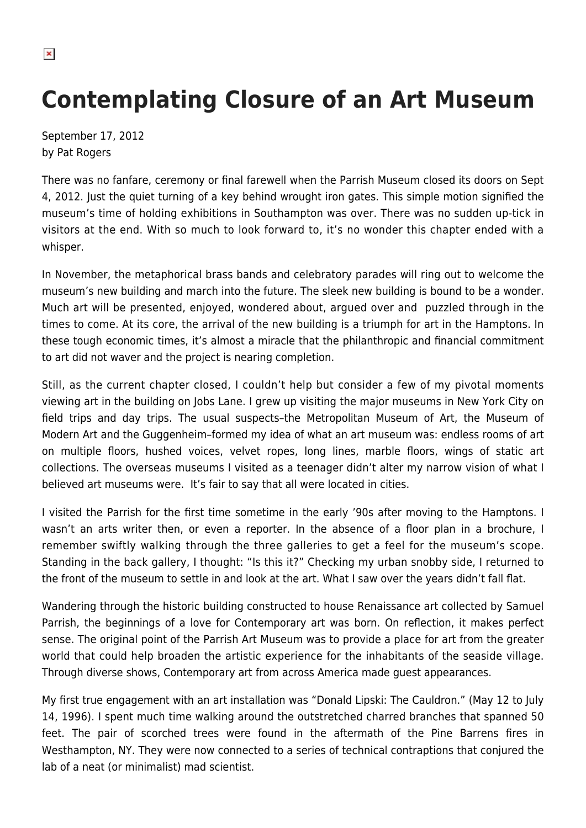$\pmb{\times}$ 

## **Contemplating Closure of an Art Museum**

September 17, 2012 by Pat Rogers

There was no fanfare, ceremony or final farewell when the Parrish Museum closed its doors on Sept 4, 2012. Just the quiet turning of a key behind wrought iron gates. This simple motion signified the museum's time of holding exhibitions in Southampton was over. There was no sudden up-tick in visitors at the end. With so much to look forward to, it's no wonder this chapter ended with a whisper.

In November, the metaphorical brass bands and celebratory parades will ring out to welcome the museum's new building and march into the future. The sleek new building is bound to be a wonder. Much art will be presented, enjoyed, wondered about, argued over and puzzled through in the times to come. At its core, the arrival of the new building is a triumph for art in the Hamptons. In these tough economic times, it's almost a miracle that the philanthropic and financial commitment to art did not waver and the project is nearing completion.

Still, as the current chapter closed, I couldn't help but consider a few of my pivotal moments viewing art in the building on Jobs Lane. I grew up visiting the major museums in New York City on field trips and day trips. The usual suspects–the Metropolitan Museum of Art, the Museum of Modern Art and the Guggenheim–formed my idea of what an art museum was: endless rooms of art on multiple floors, hushed voices, velvet ropes, long lines, marble floors, wings of static art collections. The overseas museums I visited as a teenager didn't alter my narrow vision of what I believed art museums were. It's fair to say that all were located in cities.

I visited the Parrish for the first time sometime in the early '90s after moving to the Hamptons. I wasn't an arts writer then, or even a reporter. In the absence of a floor plan in a brochure, I remember swiftly walking through the three galleries to get a feel for the museum's scope. Standing in the back gallery, I thought: "Is this it?" Checking my urban snobby side, I returned to the front of the museum to settle in and look at the art. What I saw over the years didn't fall flat.

Wandering through the historic building constructed to house Renaissance art collected by Samuel Parrish, the beginnings of a love for Contemporary art was born. On reflection, it makes perfect sense. The original point of the Parrish Art Museum was to provide a place for art from the greater world that could help broaden the artistic experience for the inhabitants of the seaside village. Through diverse shows, Contemporary art from across America made guest appearances.

My first true engagement with an art installation was "Donald Lipski: The Cauldron." (May 12 to July 14, 1996). I spent much time walking around the outstretched charred branches that spanned 50 feet. The pair of scorched trees were found in the aftermath of the Pine Barrens fires in Westhampton, NY. They were now connected to a series of technical contraptions that conjured the lab of a neat (or minimalist) mad scientist.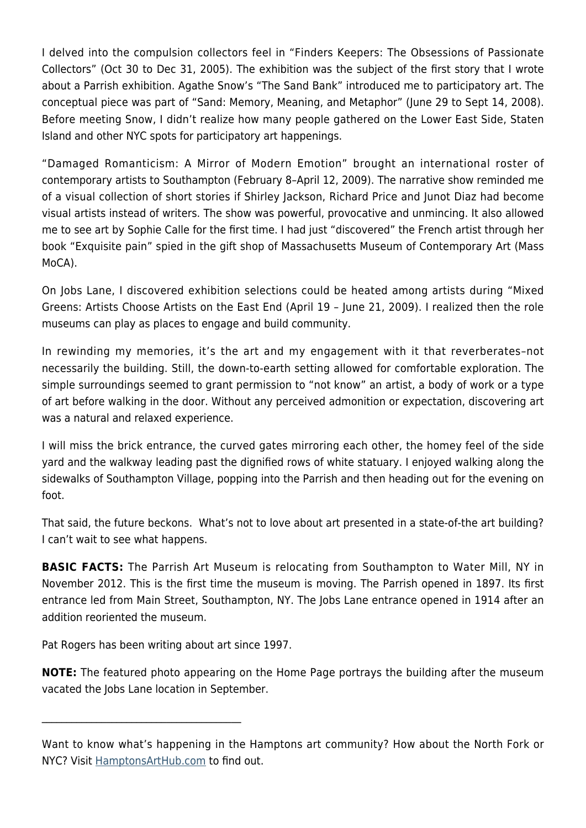I delved into the compulsion collectors feel in "Finders Keepers: The Obsessions of Passionate Collectors" (Oct 30 to Dec 31, 2005). The exhibition was the subject of the first story that I wrote about a Parrish exhibition. Agathe Snow's "The Sand Bank" introduced me to participatory art. The conceptual piece was part of "Sand: Memory, Meaning, and Metaphor" (June 29 to Sept 14, 2008). Before meeting Snow, I didn't realize how many people gathered on the Lower East Side, Staten Island and other NYC spots for participatory art happenings.

"Damaged Romanticism: A Mirror of Modern Emotion" brought an international roster of contemporary artists to Southampton (February 8–April 12, 2009). The narrative show reminded me of a visual collection of short stories if Shirley Jackson, Richard Price and Junot Diaz had become visual artists instead of writers. The show was powerful, provocative and unmincing. It also allowed me to see art by Sophie Calle for the first time. I had just "discovered" the French artist through her book "Exquisite pain" spied in the gift shop of Massachusetts Museum of Contemporary Art (Mass MoCA).

On Jobs Lane, I discovered exhibition selections could be heated among artists during "Mixed Greens: Artists Choose Artists on the East End (April 19 – June 21, 2009). I realized then the role museums can play as places to engage and build community.

In rewinding my memories, it's the art and my engagement with it that reverberates–not necessarily the building. Still, the down-to-earth setting allowed for comfortable exploration. The simple surroundings seemed to grant permission to "not know" an artist, a body of work or a type of art before walking in the door. Without any perceived admonition or expectation, discovering art was a natural and relaxed experience.

I will miss the brick entrance, the curved gates mirroring each other, the homey feel of the side yard and the walkway leading past the dignified rows of white statuary. I enjoyed walking along the sidewalks of Southampton Village, popping into the Parrish and then heading out for the evening on foot.

That said, the future beckons. What's not to love about art presented in a state-of-the art building? I can't wait to see what happens.

**BASIC FACTS:** The Parrish Art Museum is relocating from Southampton to Water Mill, NY in November 2012. This is the first time the museum is moving. The Parrish opened in 1897. Its first entrance led from Main Street, Southampton, NY. The Jobs Lane entrance opened in 1914 after an addition reoriented the museum.

Pat Rogers has been writing about art since 1997.

 $\mathcal{L}_\text{max}$  and  $\mathcal{L}_\text{max}$  and  $\mathcal{L}_\text{max}$  and  $\mathcal{L}_\text{max}$ 

**NOTE:** The featured photo appearing on the Home Page portrays the building after the museum vacated the Jobs Lane location in September.

Want to know what's happening in the Hamptons art community? How about the North Fork or NYC? Visit [HamptonsArtHub.com](https://hamptonsarthub.com/) to find out.